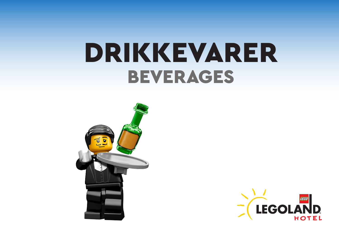# DRIKKEVARER BEVERAGES



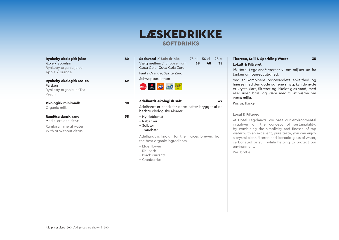### LÆSKEDRIKKE SOFTDRINKS

Rynkeby økologisk juice 42 Æble / appelsin Rynkeby organic juice Apple / orange

Rynkeby økologisk IceTea 42 Fersken Rynkeby organic IceTea Peach

Økologisk minimælk 18 Organic milk

Ramlösa dansk vand 38 Med eller uden citrus

Ramlösa mineral water With or without citrus

Sodavand / Soft drinks 75 cl 50 cl 25 cl Vælg mellem / choose from: 58 48 38 Coca Cola, Coca Cola Zero, Fanta Orange, Sprite Zero,

Schweppes lemon



#### Adelhardt økologisk saft 12

Adelhardt er kendt for deres safter brygget af de bedste økologiske råvarer.

– Hyldeblomst

- Rabarber
- Solbær
- Tranebær

Adelhardt is known for their juices brewed from the best organic ingredients.

- Elderflower
- Rhubarb
- Black currants
- Cranberries

#### Thoreau, Still & Sparkling Water 35 **Lokalt & Filtreret**

På Hotel Legoland® værner vi om miljøet ud fra tanken om bæredygtighed.

Ved at kombinere postevandets enkelthed og finesse med den gode og rene smag, kan du nyde et krystalklart, filtreret og iskoldt glas vand, med eller uden brus, og være med til at værne om vores miljø.

Pris pr. flaske

#### **Local & Filtered**

At Hotel Legoland®, we base our environmental initiatives on the concept of sustainability: by combining the simplicity and finesse of tap water with an excellent, pure taste, you can enjoy a crystal clear, filtered and ice-cold glass of water, carbonated or still, while helping to protect our environment.

Per bottle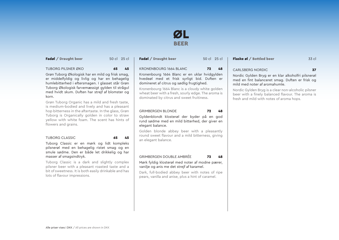### ØL BEER

Fadøl / Draught beer 50 cl 25 cl

TUBORG PILSNER ØKO **65 45** 

Grøn Tuborg Økologisk har en mild og frisk smag, er middelfyldig og livlig og har en behagelig humlebitterhed i eftersmagen. I glasset står Grøn Tuborg Økologisk farvemæssigt gylden til strågul med hvidt skum. Duften har strejf af blomster og korn.

Grøn Tuborg Organic has a mild and fresh taste, is medium-bodied and lively and has a pleasant hop bitterness in the aftertaste. In the glass, Grøn Tuborg is Organically golden in color to straw yellow with white foam. The scent has hints of flowers and grains.

#### TUBORG CLASSIC 65 45

Tuborg Classic er en mørk og lidt kompleks pilsnerøl med en behagelig ristet smag og en smule sødme. Den er både let drikkelig og har masser af smagsindtryk.

Tuborg Classic is a dark and slightly complex pilsner beer with a pleasant roasted taste and a bit of sweetness. It is both easily drinkable and has lots of flavour impressions.

| <b>KRONENBOURG 1664 BLANC</b><br>72 48               | CAR |
|------------------------------------------------------|-----|
| Kronenbourg 1664 Blanc er en uklar hvidgylden   Nord |     |
|                                                      |     |

Kronenbourg 1664 Blanc er en uklar hvidgylden hvedeøl med et frisk syrligt bid. Duften er domineret af citrus og sødlig frugtighed.

Kronenbourg 1664 Blanc is a cloudy white golden wheat beer with a fresh, sourly edge. The aroma is dominated by citrus and sweet fruitiness.

#### GRIMBERGEN BLONDE 72 48

Gyldenblondt klosterøl der byder på en god rund sødme med en mild bitterhed, der giver en elegant balance.

Golden blonde abbey beer with a pleasantly round sweet flavour and a mild bitterness, giving an elegant balance.

#### GRIMBERGEN DOUBLE AMBRÉE 72 48

Mørk fyldig klosterøl med noter af modne pærer, vanilje og anis me det strejf af karamel.

Dark, full-bodied abbey beer with notes of ripe pears, vanilla and anise, plus a hint of caramel.

| <b>Fadøl / Draught beer</b> | 50 cl 25 cl | Flaske øl / Bottled beer | 33 cl |
|-----------------------------|-------------|--------------------------|-------|
|                             |             |                          |       |

#### LSBERG NORDIC **37**

Nordic Gylden Bryg er en klar alkoholfri pilsnerøl med en fint balanceret smag. Duften er frisk og mild med noter af aromahumle.

Nordic Gylden Bryg is a clear non-alcoholic pilsner beer with a finely balanced flavour. The aroma is fresh and mild with notes of aroma hops.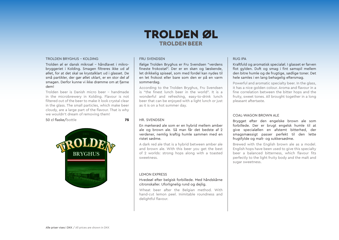### TROLDEN ØL TROLDEN BEER

#### TROLDEN BRYGHUS - KOLDING

Trolden øl er dansk mikroøl - håndlavet i mikrobryggeriet i Kolding. Smagen filtreres ikke ud af øllet, for at det skal se krystalklart ud i glasset. De små partikler, der gør øllet uklart, er en stor del af smagen. Derfor kunne vi ikke drømme om at fjerne dem!

Trolden beer is Danish micro beer - handmade in the microbrewery in Kolding. Flavour is not filtered out of the beer to make it look crystal clear in the glass. The small particles, which make beer cloudy, are a large part of the flavour. That is why we wouldn't dream of removing them!

#### 50 cl flaske/bottle 75



#### FRU SVENDSEN

Ifølge Trolden Bryghus er Fru Svendsen "verdens fineste frokostøl". Der er en skøn og læskende, let drikkelig spiseøl, som med fordel kan nydes til en let frokost eller bare som den er på en varm sommerdag.

According to the Trolden Bryghus, Fru Svendsen is "the finest lunch beer in the world". It is a wonderful and refreshing, easy-to-drink lunch beer that can be enjoyed with a light lunch or just as it is on a hot summer day.

#### HR. SVENDSEN

En mørkerød ale som er en hybrid mellem amber ale og brown ale. Så man får det bedste af 2 verdener, nemlig kraftig humle sammen med en ristet sødme.

A dark red ale that is a hybrid between amber ale and brown ale. With this beer you get the best of 2 worlds: strong hops along with a toasted sweetness.

#### LEMON EXPRESS

#### Hvedeøl efter belgisk forbillede. Med håndskårne citronskaller. Uforlignelig rund og dejlig.

Wheat beer after the Belgian method. With hand-cut lemon peel. Inimitable roundness and delightful flavour.

#### RUG IPA

Kraftfuld og aromatisk specialøl. I glasset er farven flot gylden. Duft og smag i fint samspil mellem den bitre humle og de frugtige, sødlige toner. Det hele samles i en lang behagelig eftersmag.

Powerful and aromatic specialty beer. In the glass, it has a nice golden colour. Aroma and flavour in a fine correlation between the bitter hops and the fruity, sweet tones. All brought together in a long pleasant aftertaste.

#### COAL-WAGON BROWN ALE

Brygget efter den engelske brown ale som forbillede. Der er brugt engelsk humle til at give specialøllen en afstemt bitterhed, der smagsmæssigt passer perfekt til den lette frugtfylde og malt- og sukkersødme.

Brewed with the English brown ale as a model. English hops have been used to give this specialty beer a balanced bitterness, which flavour fits perfectly to the light fruity body and the malt and sugar sweetness.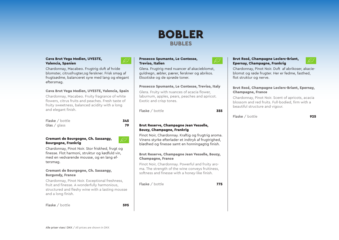### BOBLER BUBLES

#### Cava Brut Vega Medien, UVESTE, Valencia, Spanien



Chardonnay, Macabeo. Frugtrig duft af hvide blomster, citrusfrugter,og ferskner. Frisk smag af frugtsødme, balanceret syre med lang og elegant eftersmag.

#### Cava Brut Vega Medien, UVESTE, Valencia, Spain

Chardonnay, Macabeo. Fruity fragrance of white flowers, citrus fruits and peaches. Fresh taste of fruity sweetness, balanced acidity with a long and elegant finish.

 $F$ laske / bottle  $\overline{345}$ Glas  $/$  glass 79



فتبيتهم

#### Cremant de Bourgogne, Ch. Sassangy, Bourgogne, Frankrig

Chardonnay, Pinot Noir. Stor friskhed, frugt og finesse. Flot harmoni, struktur og kødfuld vin, med en vedvarende mousse, og en lang eftersmag.

#### Cremant de Bourgogne, Ch. Sassangy, Burgundy, France

Chardonnay, Pinot Noir. Exceptional freshness, fruit and finesse. A wonderfully harmonious, structured and fleshy wine with a lasting mousse and a long finish.

Flaske / bottle 595

#### Prosecco Spumante, Le Contesse, Treviso, Italien

Glera. Frugtrig med nuancer af akacieblomst, guldregn, æbler, pærer, ferskner og abrikos. Eksotiske og de sprøde toner.

#### Prosecco Spumante, Le Contesse, Treviso, Italy

Glera. Fruity with nuances of acacia flower, laburnum, apples, pears, peaches and apricot. Exotic and crisp tones.

Flaske / bottle 355

#### Brut Reserve, Champagne Jean Vesselle, Bouzy, Champagne, Frankrig

Pinot Noir, Chardonnay. Kraftig og frugtrig aroma. Vinens styrke efterlader et indtryk af frugtrighed, blødhed og finesse samt en honningagtig finish.

#### Brut Reserve, Champagne Jean Vesselle, Bouzy, Champagne, France

Pinot Noir, Chardonnay. Powerful and fruity aroma. The strength of the wine conveys fruitiness, softness and finesse with a honey-like finish.

Flaske / bottle 775

#### Brut Rosé, Champagne Leclerc-Briant, Epernay, Champagne, Frankrig



Chardonnay, Pinot Noir. Duft af abrikoser, akacieblomst og røde frugter. Her er fedme, fasthed, flot struktur og nerve.

#### Brut Rosé, Champagne Leclerc-Briant, Epernay, Champagne, France

Chardonnay, Pinot Noir. Scent of apricots, acacia blossom and red fruits. Full-bodied, firm with a beautiful structure and vigour.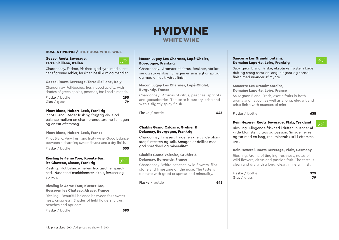### HVIDVINE WHITE WINE

#### HUSETS HVIDVIN / THE HOUSE WHITE WINE

#### Gocce, Roots Beverage, Terre Siciliane, Italien

Chardonnay. Fedme, friskhed, god syre, med nuancer af grønne æbler, ferskner, basilikum og mandler.

#### Gocce, Roots Beverage, Terre Siciliane, Italy

Chardonnay. Full-bodied, fresh, good acidity, with shades of green apples, peaches, basil and almonds.

Flaske / bottle 295 Glas  $/$  glass  $79$ 

#### Pinot Blanc, Hubert Beck, Frankrig

Pinot Blanc. Meget frisk og frugtrig vin. God balance mellem en charmerende sødme i smagen og en tør eftersmag.

#### Pinot Blanc, Hubert Beck, France

Pinot Blanc. Very fresh and fruity wine. Good balance between a charming sweet flavour and a dry finish. Flaske / bottle 335

#### Riesling le 4eme Tour, Kuentz-Bas, les Chateau, Alsace, Frankrig

Riesling. Flot balance mellem frugtsødme, sprødhed. Nuancer af markblomster, citrus, ferskner og abrikos.

#### Riesling le 4eme Tour, Kuentz-Bas, Husseren les Chateau, Alsace, France

Riesling. Beautiful balance between fruit sweetness, crispness. Shades of field flowers, citrus, peaches and apricots.

Flaske / bottle 395

#### Macon Lugny Les Charmes, Lupé-Cholet, Bourgogne, Frankrig

Chardonnay. Aromaer af citrus, ferskner, abrikoser og stikkelsbær. Smagen er smøragtig, sprød, og med en let krydret finish. .

#### Macon Lugny Les Charmes, Lupé-Cholet, Burgundy, France

Chardonnay. Aromas of citrus, peaches, apricots and gooseberries. The taste is buttery, crisp and with a slightly spicy finish.

Flaske  $/$  bottle  $445$ 

#### Chablis Grand Calcaire, Gruhier & Delaunay, Bourgogne, Frankrig

Chardonnay. I næsen, hvide ferskner, vilde blomster, flintesten og kalk. Smagen er delikat med god sprødhed og mineralitet.

#### Chablis Grand Valcaire, Gruhier & Delaunay, Burgundy, France

Chardonnay. White peaches, wild flowers, flint stone and limestone on the nose. The taste is delicate with good crispness and minerality.

Flaske / bottle 645

#### Sancerre Les Grandmontains, Domaine Laporte, Loire, Frankrig

Sauvignon Blanc. Friske, eksotiske frugter i både duft og smag samt en lang, elegant og sprød finish med nuancer af mynte.

#### Sancerre Les Grandmontains, Domaine Laporte, Loire, France

Sauvignon Blanc. Fresh, exotic fruits in both aroma and flavour, as well as a long, elegant and crisp finish with nuances of mint.

 $Flaske / hottle$  635

#### Kein Hexerei, Roots Beverage, Pfalz, Tyskland

Rieslilng. Klingende friskhed i duften, nuancer af vilde blomster, citrus og passion. Smagen er ren og tør med en lang, ren, mineralsk stil i eftersmagen.

#### Kein Hexerei, Roots Beverage, Pfalz, Germany

Rieslilng. Aroma of tingling freshness, notes of wild flowers, citrus and passion fruit. The taste is clean and dry with a long, clean, mineral finish.

| Flaske / bottle | 375 |
|-----------------|-----|
| Glas / glass    | 79  |

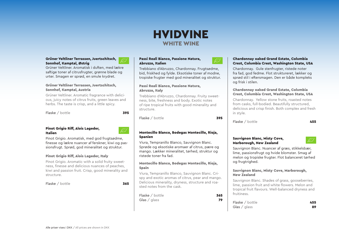### HVIDVINE WHITE WINE

#### Grüner Veltliner Terrassen, Juertschitsch, Sonnhof, Kamptal, Østrig

Grüner Veltliner. Aromatisk i duften, med lækre saftige toner af citrusfrugter, grønne blade og urter. Smagen er sprød, en smule krydret.

#### Grüner Veltliner Terrassen, Juertschitsch, Sonnhof, Kamptal, Austria

Grüner Veltliner. Aromatic fragrance with delicious, juicy notes of citrus fruits, green leaves and herbs. The taste is crisp, and a little spicy.

Flaske / bottle 395

#### Pinot Grigio Riff, Alois Lageder, Italien

Pinot Grigio. Aromatisk, med god frugtsødme, finesse og lækre nuancer af ferskner, kiwi og passionsfrugt. Sprød, god mineralitet og struktur.

#### Pinot Grigio Riff, Alois Lageder, Italy

Pinot Grigio. Aromatic with a solid fruity sweetness, finesse and delicious nuances of peaches, kiwi and passion fruit. Crisp, good minerality and structure.

Flaske / bottle 365

#### Passi Reali Bianco, Passione Natura, Abruzzo, Italien

Trebbiano d'Abruzzo, Chardonnay. Frugtsødme, bid, friskhed og fylde. Eksotiske toner af modne, tropiske frugter med god mineralitet og struktur.

#### Passi Reali Bianco, Passione Natura, Abruzzo, Italy

Trebbiano d'Abruzzo, Chardonnay. Fruity sweetness, bite, freshness and body. Exotic notes of ripe tropical fruits with good minerality and structure.

Flaske / bottle 395

#### Montecillo Blanco, Bodegas Montecillo, Rioja, Spanien

Viura, Tempranillo Blanco, Sauvignon Blanc. Sprøde og eksotiske aromaer af citrus, pære og mango. Lækker mineralitet, tørhed, struktur og ristede toner fra fad.

#### Montecillo Blanco, Bodegas Montecillo, Rioja, Spain

Viura, Tempranillo Blanco, Sauvignon Blanc. Crispy and exotic aromas of citrus, pear and mango. Delicious minerality, dryness, structure and roasted notes from the cask.

| Flaske / bottle          | 365 |
|--------------------------|-----|
| Glas $\frac{1}{2}$ glass | 79  |

#### Chardonnay oaked Grand Estate, Columbia Crest, Columbia Crest, Washington State, USA

Chardonnay. Gule stenfrugter, ristede noter fra fad, god fedme. Flot struktureret, lækker og sprød stil i eftersmagen. Den er både kompleks og frisk i stilen.

#### Chardonnay oaked Grand Estate, Columbia Crest, Columbia Crest, Washington State, USA

Chardonnay. Yellow stone fruits, roasted notes from casks, full-bodied. Beautifully structured, delicious and crisp finish. Both complex and fresh in style.

Flaske / bottle 455

#### Sauvignon Blanc, Misty Cove, Marborough, New Zealand

Sauvignon Blanc. Nuancer af græs, stikkelsbær, lime, passionsfrugt og hvide blomster. Smag af melon og tropiske frugter. Flot balanceret tørhed og frugtrighed.

#### Sauvignon Blanc, Misty Cove, Marborough, New Zealand

Sauvignon Blanc. Shades of grass, gooseberries, lime, passion fruit and white flowers. Melon and tropical fruit flavours. Well-balanced dryness and fruitiness.

| Flaske / bottle          | 455 |
|--------------------------|-----|
| Glas $\frac{1}{2}$ glass | 89  |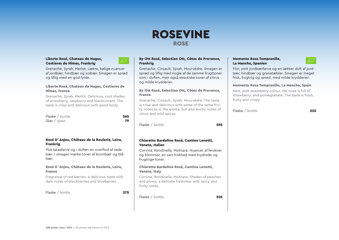### ROSEVINE ROSE

#### Liberte Rosé, Chateau de Nages, Costieres de Nîmes, Frankrig

og liflig med en god fylde.

Nîmes, France

Grenache, Syrah, Merlot. Lækre, kølige nuancer af jordbær, hindbær og solbær. Smagen er sprød

Liberte Rosé, Chateau de Nages, Costieres de

Grenache, Syrah, Merlot. Delicious, cool shades of strawberry, raspberry and blackcurrant. The taste is crisp and delicious with good body.

Flaske / bottle 365 Glas  $\overline{79}$ 



#### By Ott Rosé, Selection Ott, Côtes de Provence, Frankrig

Grenache, Cinsault, Syrah, Mourvèdre. Smagen er sprød og liflig med nogle af de samme frugttoner som i duften, men også eksotiske toner af citrus og milde krydderier.

#### By Ott Rosé, Selection Ott, Côtes de Provence, France

Grenache, Cinsault, Syrah, Mourvèdre. The taste is crisp and delicious with some of the same fruity notes as in the aroma, but also exotic notes of citrus and mild spices.

Flaske / bottle 595

#### Chiaretto Bardolino Rosé, Cantine Lenotti, Veneto, Italien

Corvina, Rondinella, Molinara. Nuancer af ferskner og blommer, en sart friskhed med krydrede og frugtrige toner.

#### Chiaretto Bardolino Rosé, Cantine Lenotti, Veneto, Italy

Corvina, Rondinella, Molinara. Shades of peaches and plums, a delicate freshness with spicy and fruity notes.

Flaske / bottle 325

#### Momento Rosa Tempranillo, La Mancha, Spanien



Flot, pink jordbærfarve og en lækker duft af jordbær, hindbær og granatæbler. Smagen er meget frisk, frugtrig og sprød, med milde krydderier.

#### Momento Rosa Tempranillo, La Mancha, Spain

Nice, pink strawberry colour, the nose is full of strawberry, and pomegranate. The taste is fresh, fruity and crispy.

Flaske / bottle 325

Flot laksefarve og i duften en overflod af røde bær. I smagen mørke toner af brombær og blåbær.

#### Rosé D´Anjou, Chäteau de la Roulerie, Loire, France

Rosé D´Anjou, Chäteau de la Roulerie, Loire,

Fragrance of red berries. A delicious taste with dark notes of blackberries and blueberries.

Flaske / bottle 375

Frankrig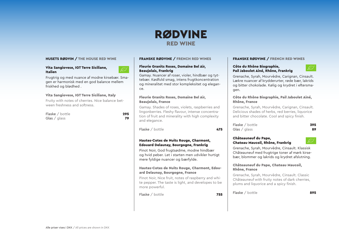#### HUSETS RØDVIN / THE HOUSE RED WINE

#### Vita Sangiovese, IGT Terre Siciliane, Italien



Frugtrig og med nuance af modne kirsebær. Smagen er harmonisk med en god balance mellem friskhed og blødhed .

#### Vita Sangiovese, IGT Terre Siciliane, Italy

Fruity with notes of cherries. Nice balance between freshness and softness.

Flaske / bottle 295 Glas  $/$  glass  $79$ 



#### FRANSKE RØDVINE / FRENCH RED WINES

#### Fleurie Granits Roses, Domaine Bel Air, Beaujolais, Frankrig

Gamay. Nuancer af roser, violer, hindbær og tyttebær. Kødfuld smag, intens frugtkoncentration og mineralitet med stor kompleksitet og elegance.

#### Fleurie Granits Roses, Domaine Bel Air, Beaujolais, France

Gamay. Shades of roses, violets, raspberries and lingonberries. Fleshy flavour, intense concentration of fruit and minerality with high complexity and elegance.

Flaske / bottle 475

#### Hautes-Cotes de Nuits Rouge, Charmont, Edouard Delaunay, Bourgogne, Frankrig

Pinot Noir, God frugtsødme, modne hindbær og hvid peber. Let i starten men udvikler hurtigt mere fyldige nuancer og bærfylde.

#### Hautes-Cotes de Nuits Rouge, Charmont, Edouard Delaunay, Bourgogne, France

Pinot Noir, Nice fruit, notes of raspberry and white pepper. The taste is light, and developes to be more powerful.

Flaske / bottle 755

### FRANSKE RØDVINE / FRENCH RED WINES

#### Côte du Rhône Biographie, Pail Jaboulet Ainé, Rhône, Frankrig

لتباييتين

Grenache, Syrah, Mourvèdre, Carignan, Cinsault. Lækre nuancer af krydderurter, røde bær, lakrids og bitter chokolade. Kølig og krydret i eftersmagen.

#### Côte du Rhône Biographie, Pail Jaboulet Ainé, Rhône, France

Grenache, Syrah, Mourvèdre, Carignan, Cinsault. Delicious shades of herbs, red berries, liquorice and bitter chocolate. Cool and spicy finish.

Flaske / bottle 395 Glas  $\overline{\phantom{a}}$  glass  $\overline{\phantom{a}}$  89

#### Châteauneuf du Pape, Chateau Maucoil, Rhône, Frankrig

Grenache, Syrah, Mourvèdre, Cinsault. Klassisk Châteauneuf med frugtrige toner af mørk kirsebær, blommer og lakrids og krydret afslutning.

#### Châteauneuf du Pape, Chateau Maucoil, Rhône, France

Grenache, Syrah, Mourvèdre, Cinsault. Classic Châteauneuf with fruity notes of dark cherries, plums and liquorice and a spicy finish.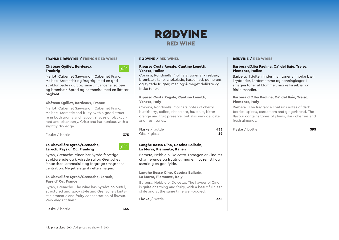#### FRANSKE RØDVINE / FRENCH RED WINES

#### Château Quillet, Bordeaux, Frankrig

Merlot, Cabernet Sauvignon, Cabernet Franc, Malbec. Aromatisk og frugtrig, med en god struktur både i duft og smag, nuancer af solbær og brombær. Sprød og harmonisk med en lidt tør bagkant.

#### Château Quillet, Bordeaux, France

Merlot, Cabernet Sauvignon, Cabernet Franc, Malbec. Aromatic and fruity, with a good structure in both aroma and flavour, shades of blackcurrant and blackberry. Crisp and harmonious with a slightly dry edge.

Flaske / bottle 375

#### La Chevalière Syrah/Grenache, Laroch, Pays d´Oc, Frankrig

Syrah, Grenache. Vinen har Syrahs farverige, strukturerede og krydrede stil og Grenaches fantastiske, aromatiske og frugtrige smagskoncentration. Meget elegant i eftersmagen.

#### La Chevalière Syrah/Grenache, Laroch, Pays d´Oc, France

Syrah, Grenache. The wine has Syrah's colourful, structured and spicy style and Grenache's fantastic aromatic and fruity concentration of flavour. Very elegant finish.

#### Flaske / bottle 365

#### RØDVINE / RED WINES

#### Ripasso Costa Regale, Cantine Lenotti, Veneto, Italien

Corvina, Rondinella, Molinara. toner af kirsebær, brombær, kaffe, chokolade, hasselnød, pomerans og syltede frugter, men også meget delikate og friske toner.

#### Ripasso Costa Regale, Cantine Lenotti, Veneto, Italy

Corvina, Rondinella, Molinara notes of cherry, blackberry, coffee, chocolate, hazelnut, bitter orange and fruit preserve, but also very delicate and fresh tones.

| Flaske / bottle | 435 |
|-----------------|-----|
| Glas / $g$ lass | 89  |

#### Langhe Rosso Cino, Cascina Ballarin, La Morra, Piemonte, Italien

Barbera, Nebbiolo, Dolcetto. I smagen er Cino ret charmerende og frugtrig, med en flot ren stil og samtidig en god fylde.

#### Langhe Rosso Cino, Cascina Ballarin, La Morra, Piemonte, Italy

Barbera, Nebbiolo, Dolcetto. The flavour of Cino is quite charming and fruity, with a beautiful clean style and at the same time well-bodied.

Flaske  $\ell$  bottle 365

#### RØDVINE / RED WINES

#### Barbera d'Alba Paolina, Ca' del Baio, Treiso, Piemonte, Italien

Barbera. I duften finder man toner af mørke bær, krydderier, kardemomme og honningkager. I smagen toner af blommer, mørke kirsebær og friske mandler.

#### Barbera d 'Alba Paolina, Ca' del Baio, Treiso, Piemonte, Italy

Barbera. The fragrance contains notes of dark berries, spices, cardamom and gingerbread. The flavour contains tones of plums, dark cherries and fresh almonds.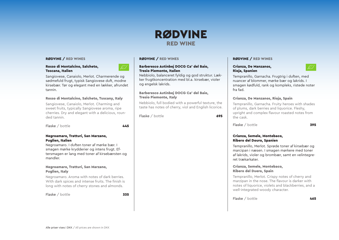Nebbiolo, balanceret fyldig og god struktur. Lækker frugtkoncentration med bl.a. kirsebær, violer

Nebbiolo, full bodied with a powerful texture, the taste has notes of cherry, viol and English licorice.

Flaske / bottle 695

Barberesco Autinbej DOCG Ca' del Baio,

Barberesco Autinbej DOCG Ca' del Baio,

RØDVINE / RED WINES

Tresio Piemonte, Italien

og engelsk lakrids.

Tresio Piemonte, Italy

#### RØDVINE / RED WINES

#### Rosso di Montalcino, Salcheto, Toscana, Italien



Sangiovese, Canaiolo, Merlot. Charmerende og sødmefuld frugt, typisk Sangiovese duft, modne kirsebær. Tør og elegant med en lækker, afrundet tannin.

#### Rosso di Montalcino, Salcheto, Tuscany, Italy

Sangiovese, Canaiolo, Merlot. Charming and sweet fruits, typically Sangiovese aroma, ripe cherries. Dry and elegant with a delicious, rounded tannin.

Flaske / bottle 445

#### Negroamaro, Tratturi, San Marzano, Puglien, Italien

Negroamaro. I duften toner af mørke bær. I smagen mørke krydderier og intens frugt. Eftersmagen er lang med toner af kirsebærsten og mandler.

#### Negroamaro, Tratturi, San Marzano, Puglien, Italy

Negroamaro. Aroma with notes of dark berries. With dark spices and intense fruits. The finish is long with notes of cherry stones and almonds.

Flaske / bottle 335

#### RØDVINE / RED WINES

#### Crianza, De Manzanos, Rioja, Spanien



Tempranillo, Garnacha. Frugtrig i duften, med nuancer af blommer, mørke bær og lakrids. I smagen kødfuld, rank og kompleks, ristede noter fra fad.

#### Crianza, De Manzanos, Rioja, Spain

Tempranillo, Garnacha. Fruity heroes with shades of plums, dark berries and liquorice. Fleshy, upright and complex flavour roasted notes from the cask.

Flaske / bottle 395

#### Crianza, Semele, Montebaco, Ribero del Douro, Spanien

Tempranillo, Merlot. Sprøde toner af kirsebær og marcipan i næsen. I smagen mørkere med toner af lakrids, violer og brombær, samt en velintegreret trækarkater.

#### Crianza, Semele, Montebaco, Ribero del Duero, Spain

Tempranillo, Merlot. Crispy notes of cherry and marzipan in the nose. The flavour is darker with notes of liquorice, violets and blackberries, and a well-integrated woody character.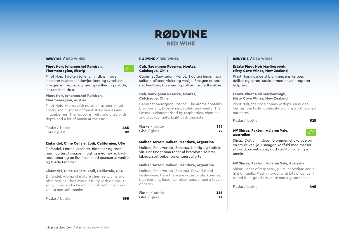#### RØDVINE / RED WINES

#### Pinot Noir, Johanneshof Reinisch, Thermenregion, Østrig

Pinot Noir. I duften toner af hindbær, røde kirsebær nuancer af skovjordbær og tyttebær. Smagen er frugtrig og med sprødhed og dybde, let tannin til sidst.

#### Pinot Noir, Johanneshof Reinisch, Thermenregion, Austria

Pinot Noir. Aroma with notes of raspberry, red cherry and nuances of forest strawberries and lingonberries. The flavour is fruity and crisp with depth and a bit of tannin at the end.

| Flaske / bottle | 445 |
|-----------------|-----|
| Glas / $q$ lass | 89  |

#### Zinfandel, Cline Cellars, Lodi, Californien, USA

Zinfandel. Modne kirsebær, blommer og brombær i duften. I smagen frugtrig med lækre, krydrede toner og en flot finish med nuancer af vanilje og bløde tanniner

#### Zinfandel, Cline Cellars, Lodi, California, USA

Zinfandel. Aroma of mature cherries, plums and blackberries. The flavour is fruity with delicious spicy notes and a beautiful finish with nuances of vanilla and soft tannins.

Flaske / bottle 395

### RØDVINE / RED WINES

#### Cab. Sauvignon Reserva, Montes, Colchagua, Chile

Cabernet Sauvignon, Merlot. I duften finder man solbær, blåbær, violer og vanilje. Smagen er præget hindbær, kirsebær og solbær. Let fadkarakter.

#### Cab. Sauvignon Reserva, Montes, Colchagua, Chile

Cabernet Sauvignon, Merlot. The aroma contains blackcurrant, blueberries, violets and vanilla. The flavour is characterised by raspberries, cherries and blackcurrants. Light cask character.

| Flaske / bottle | 355 |
|-----------------|-----|
| Glas / glass    | 79  |

#### Malbec Terroir, Kaiken, Mendoza, Argentina

Malbec, Petit Verdot, Bonarda. Kraftig og kødfuld vin. Her finder man toner af brombær, solbær, lakrids, sort peber og en snert af urter.

#### Malbec Terroir, Kaiken, Mendoza, Argentina

Malbec, Petit Verdot, Bonarda. Powerful and fleshy wine. Here there are notes of blackberries, blackcurrant, liquorice, black pepper and a touch of herbs.

| Flaske / bottle | 355 |
|-----------------|-----|
| Glas / $g$ lass | 79  |

#### RØDVINE / RED WINES

#### Estate Pinot Noir Marlborough, Misty Cove Wines, New Zealand

Pinot Noir, nuance af blommer, mørke bær, delikat og sprød karakter med et velintegreret fadpræg.

#### Estate Pinot Noir Marlborough, Misty Cove Wines, New Zealand

Pinot Noir, the nose comes with plus and dark berries, the taste is delicate and crisp, full bodied oat notes.

Flaske / bottle 525

#### MV Shiraz, Paxton, Mclaren Vale, Australien

Shiraz. Duft af hindbær, blommer, chokolade og en smule vanilje. I smagen kødfuld med masser af frugtkoncentration, god struktur og en god tannin.

#### MV Shiraz, Paxton, Mclaren Vale, Australia

Shiraz. Scent of raspberry, plum, chocolate and a hint of vanilla. Fleshy flavour with lots of concentrated fruit, good structure and a good tannin.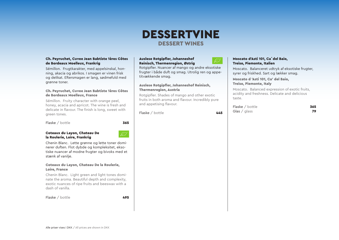### DESSERTVINE DESSERT WINES

#### Ch. Peyruchet, Cuvee Jean Babtiste 1ères Côtes de Bordeaux Moelleux, Frankrig

Sémillon. Frugtkarakter, med appelsinskal, honning, akacia og abrikos. I smagen er vinen frisk og delikat. Eftersmagen er lang, sødmefuld med grønne toner.

#### Ch. Peyruchet, Cuvee Jean Babtiste 1ères Côtes de Bordeaux Moelleux, France

Sémillon. Fruity character with orange peel, honey, acacia and apricot. The wine is fresh and delicate in flavour. The finish is long, sweet with green tones.

Flaske / bottle 365

#### Coteaux du Layon, Chateau De la Roulerie, Loire, Frankrig

Chenin Blanc. Lette grønne og lette toner dominerer duften. Flot dybde og kompleksitet, eksotiske nuancer af modne frugter og bivoks med et stænk af vanilje.

#### Coteaux du Layon, Chateau De la Roulerie, Loire, France

Chenin Blanc. Light green and light tones dominate the aroma. Beautiful depth and complexity, exotic nuances of ripe fruits and beeswax with a dash of vanilla.

Flaske / bottle 495

#### Auslese Rotgipfler, Johanneshof Reinisch, Thermenregion, Østrig

Rotgipfler. Nuancer af mango og andre eksotiske frugter i både duft og smag. Utrolig ren og appetitvækkende smag.

#### Auslese Rotgipfler, Johanneshof Reinisch, Thermenregion, Austria

Rotgipfler. Shades of mango and other exotic fruits in both aroma and flavour. Incredibly pure and appetising flavour.

Flaske  $/$  bottle  $445$ 

#### Moscato d'Asti 101, Ca´del Baio, Treiso, Piemonte, Italien

Moscato. Balanceret udtryk af eksotiske frugter, syrer og friskhed. Sart og lækker smag.

 Moscato d 'Asti 101, Ca' del Baio, Treiso, Piemonte, Italy

Moscato. Balanced expression of exotic fruits, acidity and freshness. Delicate and delicious taste.

| Flaske / bottle | 365 |
|-----------------|-----|
| Glas / $g$ lass | 79  |